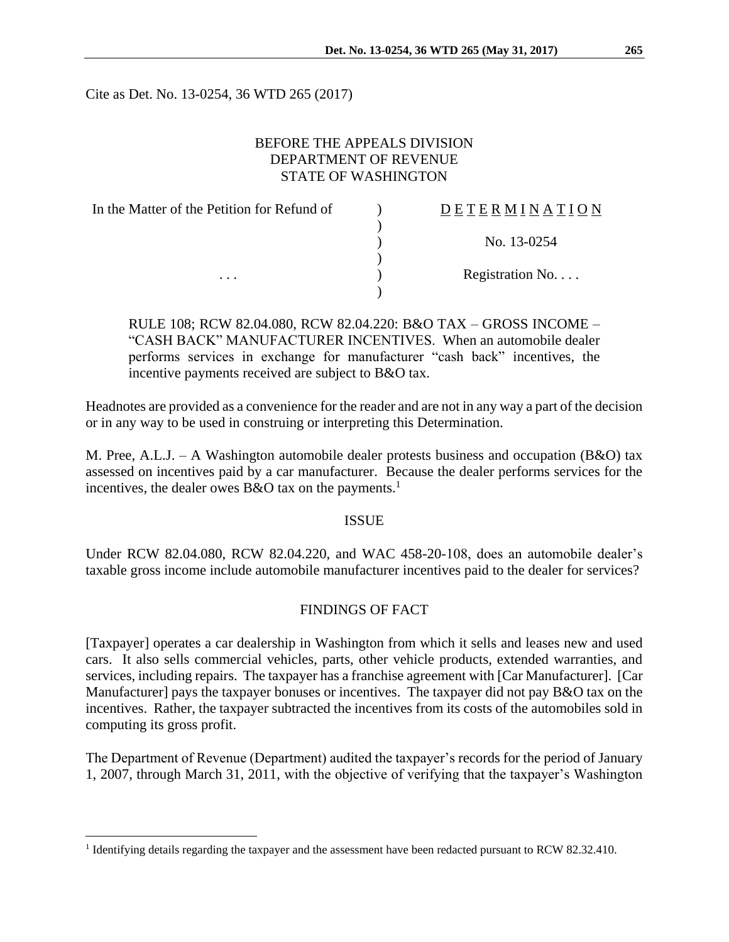Cite as Det. No. 13-0254, 36 WTD 265 (2017)

### BEFORE THE APPEALS DIVISION DEPARTMENT OF REVENUE STATE OF WASHINGTON

| In the Matter of the Petition for Refund of | DETERMINATION   |
|---------------------------------------------|-----------------|
|                                             |                 |
|                                             | No. 13-0254     |
|                                             |                 |
| $\cdots$                                    | Registration No |
|                                             |                 |

RULE 108; RCW 82.04.080, RCW 82.04.220: B&O TAX – GROSS INCOME – "CASH BACK" MANUFACTURER INCENTIVES. When an automobile dealer performs services in exchange for manufacturer "cash back" incentives, the incentive payments received are subject to B&O tax.

Headnotes are provided as a convenience for the reader and are not in any way a part of the decision or in any way to be used in construing or interpreting this Determination.

M. Pree, A.L.J. – A Washington automobile dealer protests business and occupation (B&O) tax assessed on incentives paid by a car manufacturer. Because the dealer performs services for the incentives, the dealer owes  $B&O$  tax on the payments.<sup>1</sup>

#### ISSUE

Under RCW 82.04.080, RCW 82.04.220, and WAC 458-20-108, does an automobile dealer's taxable gross income include automobile manufacturer incentives paid to the dealer for services?

## FINDINGS OF FACT

[Taxpayer] operates a car dealership in Washington from which it sells and leases new and used cars. It also sells commercial vehicles, parts, other vehicle products, extended warranties, and services, including repairs. The taxpayer has a franchise agreement with [Car Manufacturer]. [Car Manufacturer] pays the taxpayer bonuses or incentives. The taxpayer did not pay B&O tax on the incentives. Rather, the taxpayer subtracted the incentives from its costs of the automobiles sold in computing its gross profit.

The Department of Revenue (Department) audited the taxpayer's records for the period of January 1, 2007, through March 31, 2011, with the objective of verifying that the taxpayer's Washington

 $\overline{a}$ 

<sup>&</sup>lt;sup>1</sup> Identifying details regarding the taxpayer and the assessment have been redacted pursuant to RCW 82.32.410.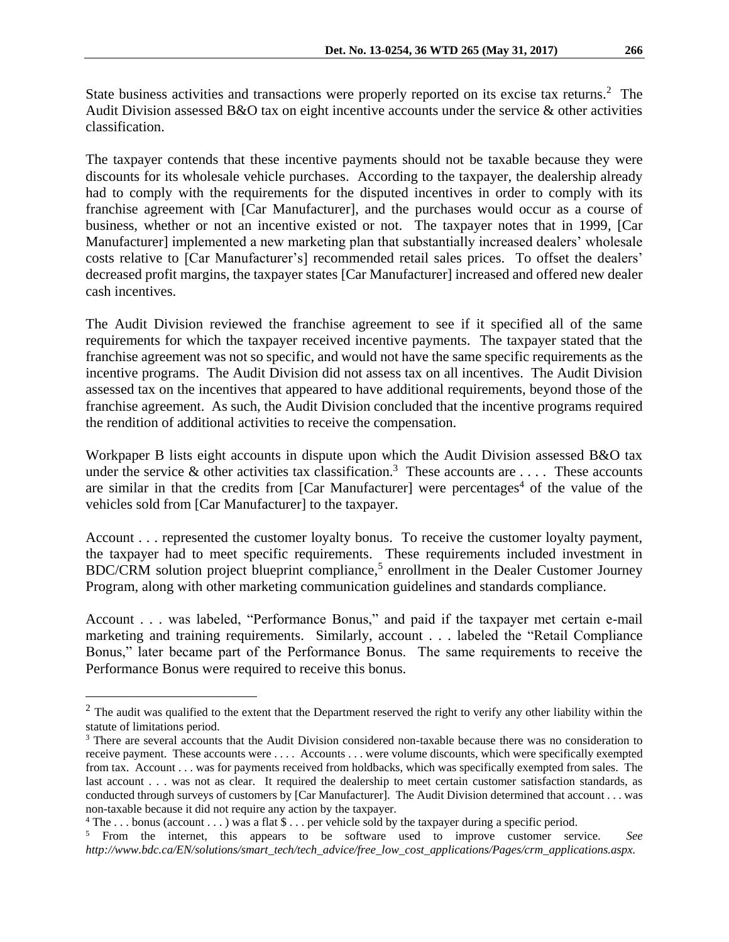State business activities and transactions were properly reported on its excise tax returns.<sup>2</sup> The Audit Division assessed B&O tax on eight incentive accounts under the service & other activities classification.

The taxpayer contends that these incentive payments should not be taxable because they were discounts for its wholesale vehicle purchases. According to the taxpayer, the dealership already had to comply with the requirements for the disputed incentives in order to comply with its franchise agreement with [Car Manufacturer], and the purchases would occur as a course of business, whether or not an incentive existed or not. The taxpayer notes that in 1999, [Car Manufacturer] implemented a new marketing plan that substantially increased dealers' wholesale costs relative to [Car Manufacturer's] recommended retail sales prices. To offset the dealers' decreased profit margins, the taxpayer states [Car Manufacturer] increased and offered new dealer cash incentives.

The Audit Division reviewed the franchise agreement to see if it specified all of the same requirements for which the taxpayer received incentive payments. The taxpayer stated that the franchise agreement was not so specific, and would not have the same specific requirements as the incentive programs. The Audit Division did not assess tax on all incentives. The Audit Division assessed tax on the incentives that appeared to have additional requirements, beyond those of the franchise agreement. As such, the Audit Division concluded that the incentive programs required the rendition of additional activities to receive the compensation.

Workpaper B lists eight accounts in dispute upon which the Audit Division assessed B&O tax under the service  $\&$  other activities tax classification.<sup>3</sup> These accounts are .... These accounts are similar in that the credits from [Car Manufacturer] were percentages<sup>4</sup> of the value of the vehicles sold from [Car Manufacturer] to the taxpayer.

Account . . . represented the customer loyalty bonus. To receive the customer loyalty payment, the taxpayer had to meet specific requirements. These requirements included investment in BDC/CRM solution project blueprint compliance,<sup>5</sup> enrollment in the Dealer Customer Journey Program, along with other marketing communication guidelines and standards compliance.

Account . . . was labeled, "Performance Bonus," and paid if the taxpayer met certain e-mail marketing and training requirements. Similarly, account . . . labeled the "Retail Compliance Bonus," later became part of the Performance Bonus. The same requirements to receive the Performance Bonus were required to receive this bonus.

 $\overline{a}$ 

 $2$  The audit was qualified to the extent that the Department reserved the right to verify any other liability within the statute of limitations period.

<sup>&</sup>lt;sup>3</sup> There are several accounts that the Audit Division considered non-taxable because there was no consideration to receive payment. These accounts were . . . . Accounts . . . were volume discounts, which were specifically exempted from tax. Account . . . was for payments received from holdbacks, which was specifically exempted from sales. The last account . . . was not as clear. It required the dealership to meet certain customer satisfaction standards, as conducted through surveys of customers by [Car Manufacturer]. The Audit Division determined that account . . . was non-taxable because it did not require any action by the taxpayer.

<sup>&</sup>lt;sup>4</sup> The ... bonus (account ...) was a flat  $\$\dots$  per vehicle sold by the taxpayer during a specific period.

<sup>5</sup> From the internet, this appears to be software used to improve customer service. *See http://www.bdc.ca/EN/solutions/smart\_tech/tech\_advice/free\_low\_cost\_applications/Pages/crm\_applications.aspx.*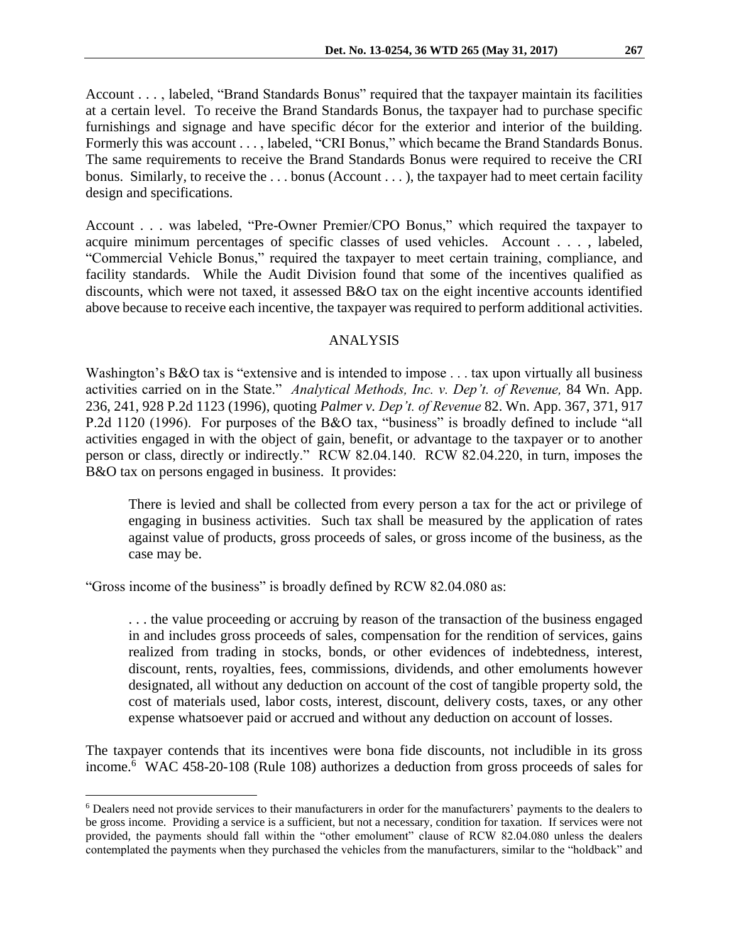Account . . . , labeled, "Brand Standards Bonus" required that the taxpayer maintain its facilities at a certain level. To receive the Brand Standards Bonus, the taxpayer had to purchase specific furnishings and signage and have specific décor for the exterior and interior of the building. Formerly this was account . . . , labeled, "CRI Bonus," which became the Brand Standards Bonus. The same requirements to receive the Brand Standards Bonus were required to receive the CRI bonus. Similarly, to receive the ... bonus (Account ...), the taxpayer had to meet certain facility design and specifications.

Account . . . was labeled, "Pre-Owner Premier/CPO Bonus," which required the taxpayer to acquire minimum percentages of specific classes of used vehicles. Account . . . , labeled, "Commercial Vehicle Bonus," required the taxpayer to meet certain training, compliance, and facility standards. While the Audit Division found that some of the incentives qualified as discounts, which were not taxed, it assessed B&O tax on the eight incentive accounts identified above because to receive each incentive, the taxpayer was required to perform additional activities.

#### ANALYSIS

Washington's B&O tax is "extensive and is intended to impose . . . tax upon virtually all business activities carried on in the State." *Analytical Methods, Inc. v. Dep't. of Revenue,* 84 Wn. App. 236, 241, 928 P.2d 1123 (1996), quoting *Palmer v. Dep't. of Revenue* 82. Wn. App. 367, 371, 917 P.2d 1120 (1996). For purposes of the B&O tax, "business" is broadly defined to include "all activities engaged in with the object of gain, benefit, or advantage to the taxpayer or to another person or class, directly or indirectly." RCW 82.04.140. RCW 82.04.220, in turn, imposes the B&O tax on persons engaged in business. It provides:

There is levied and shall be collected from every person a tax for the act or privilege of engaging in business activities. Such tax shall be measured by the application of rates against value of products, gross proceeds of sales, or gross income of the business, as the case may be.

"Gross income of the business" is broadly defined by RCW 82.04.080 as:

 $\overline{a}$ 

. . . the value proceeding or accruing by reason of the transaction of the business engaged in and includes gross proceeds of sales, compensation for the rendition of services, gains realized from trading in stocks, bonds, or other evidences of indebtedness, interest, discount, rents, royalties, fees, commissions, dividends, and other emoluments however designated, all without any deduction on account of the cost of tangible property sold, the cost of materials used, labor costs, interest, discount, delivery costs, taxes, or any other expense whatsoever paid or accrued and without any deduction on account of losses.

The taxpayer contends that its incentives were bona fide discounts, not includible in its gross income.<sup>6</sup> WAC 458-20-108 (Rule 108) authorizes a deduction from gross proceeds of sales for

<sup>6</sup> Dealers need not provide services to their manufacturers in order for the manufacturers' payments to the dealers to be gross income. Providing a service is a sufficient, but not a necessary, condition for taxation. If services were not provided, the payments should fall within the "other emolument" clause of RCW 82.04.080 unless the dealers contemplated the payments when they purchased the vehicles from the manufacturers, similar to the "holdback" and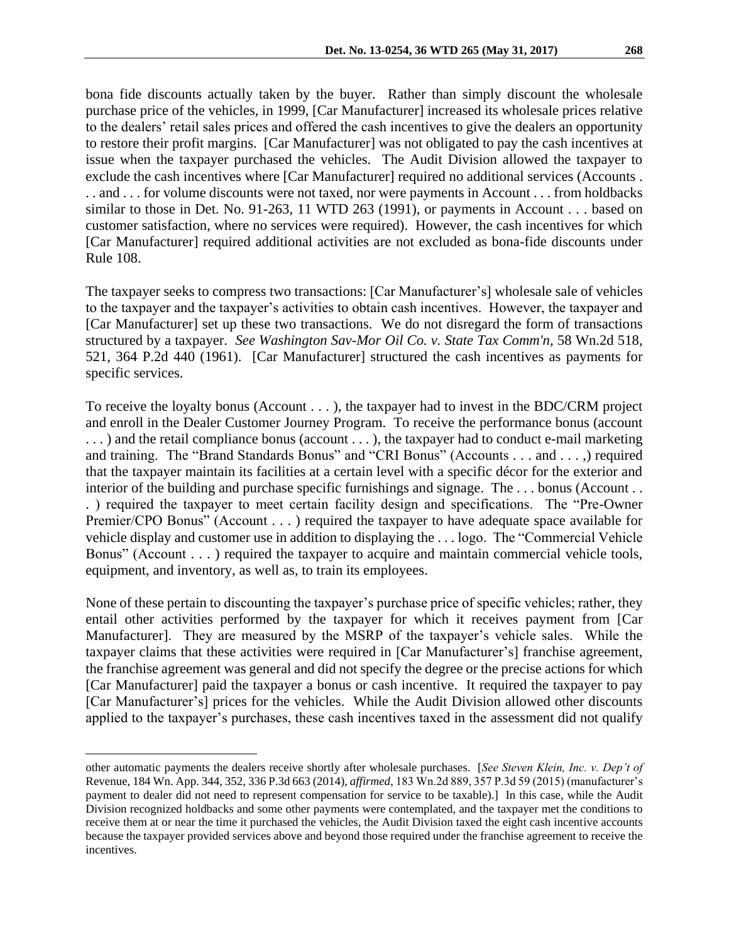bona fide discounts actually taken by the buyer. Rather than simply discount the wholesale purchase price of the vehicles, in 1999, [Car Manufacturer] increased its wholesale prices relative to the dealers' retail sales prices and offered the cash incentives to give the dealers an opportunity to restore their profit margins. [Car Manufacturer] was not obligated to pay the cash incentives at issue when the taxpayer purchased the vehicles. The Audit Division allowed the taxpayer to exclude the cash incentives where [Car Manufacturer] required no additional services (Accounts . . . and . . . for volume discounts were not taxed, nor were payments in Account . . . from holdbacks similar to those in Det. No. 91-263, 11 WTD 263 (1991), or payments in Account . . . based on customer satisfaction, where no services were required). However, the cash incentives for which [Car Manufacturer] required additional activities are not excluded as bona-fide discounts under Rule 108.

The taxpayer seeks to compress two transactions: [Car Manufacturer's] wholesale sale of vehicles to the taxpayer and the taxpayer's activities to obtain cash incentives. However, the taxpayer and [Car Manufacturer] set up these two transactions. We do not disregard the form of transactions structured by a taxpayer. *See Washington Sav-Mor Oil Co. v. State Tax Comm'n*, 58 Wn.2d 518, 521, 364 P.2d 440 (1961). [Car Manufacturer] structured the cash incentives as payments for specific services.

To receive the loyalty bonus (Account . . . ), the taxpayer had to invest in the BDC/CRM project and enroll in the Dealer Customer Journey Program. To receive the performance bonus (account . . . ) and the retail compliance bonus (account . . . ), the taxpayer had to conduct e-mail marketing and training. The "Brand Standards Bonus" and "CRI Bonus" (Accounts . . . and . . . ,) required that the taxpayer maintain its facilities at a certain level with a specific décor for the exterior and interior of the building and purchase specific furnishings and signage. The . . . bonus (Account . . . ) required the taxpayer to meet certain facility design and specifications. The "Pre-Owner Premier/CPO Bonus" (Account . . . ) required the taxpayer to have adequate space available for vehicle display and customer use in addition to displaying the . . . logo. The "Commercial Vehicle Bonus" (Account . . . ) required the taxpayer to acquire and maintain commercial vehicle tools, equipment, and inventory, as well as, to train its employees.

None of these pertain to discounting the taxpayer's purchase price of specific vehicles; rather, they entail other activities performed by the taxpayer for which it receives payment from [Car Manufacturer]. They are measured by the MSRP of the taxpayer's vehicle sales. While the taxpayer claims that these activities were required in [Car Manufacturer's] franchise agreement, the franchise agreement was general and did not specify the degree or the precise actions for which [Car Manufacturer] paid the taxpayer a bonus or cash incentive. It required the taxpayer to pay [Car Manufacturer's] prices for the vehicles. While the Audit Division allowed other discounts applied to the taxpayer's purchases, these cash incentives taxed in the assessment did not qualify

 $\overline{a}$ 

other automatic payments the dealers receive shortly after wholesale purchases. [*See Steven Klein, Inc. v. Dep't of*  Revenue, 184 Wn. App. 344, 352, 336 P.3d 663 (2014), *affirmed*, 183 Wn.2d 889, 357 P.3d 59 (2015) (manufacturer's payment to dealer did not need to represent compensation for service to be taxable).] In this case, while the Audit Division recognized holdbacks and some other payments were contemplated, and the taxpayer met the conditions to receive them at or near the time it purchased the vehicles, the Audit Division taxed the eight cash incentive accounts because the taxpayer provided services above and beyond those required under the franchise agreement to receive the incentives.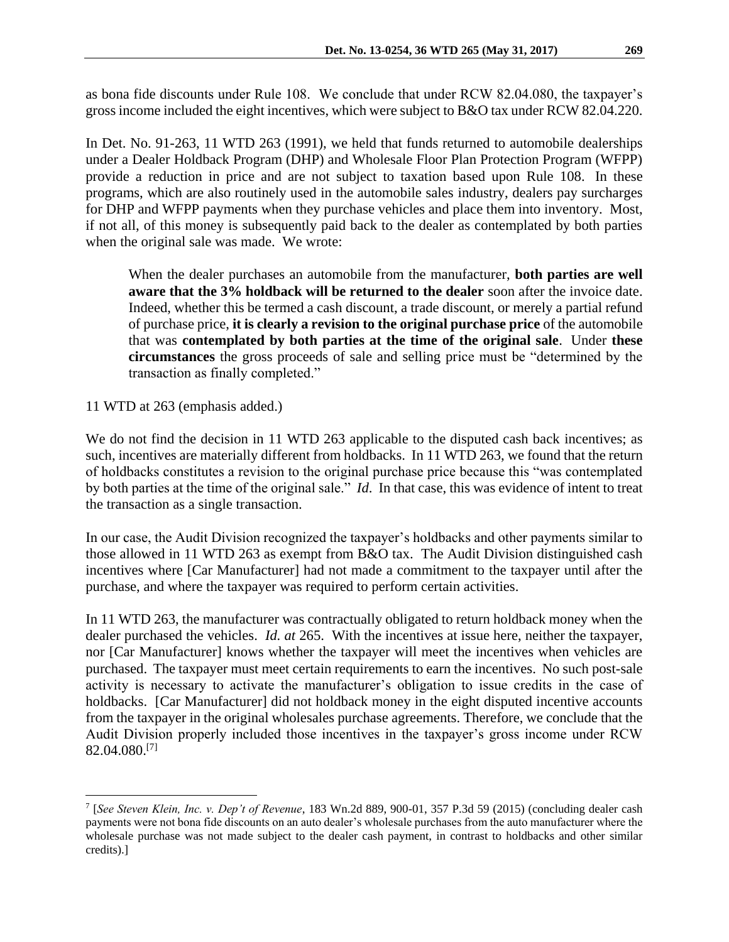as bona fide discounts under Rule 108. We conclude that under RCW 82.04.080, the taxpayer's gross income included the eight incentives, which were subject to B&O tax under RCW 82.04.220.

In Det. No. 91-263, 11 WTD 263 (1991), we held that funds returned to automobile dealerships under a Dealer Holdback Program (DHP) and Wholesale Floor Plan Protection Program (WFPP) provide a reduction in price and are not subject to taxation based upon Rule 108. In these programs, which are also routinely used in the automobile sales industry, dealers pay surcharges for DHP and WFPP payments when they purchase vehicles and place them into inventory. Most, if not all, of this money is subsequently paid back to the dealer as contemplated by both parties when the original sale was made. We wrote:

When the dealer purchases an automobile from the manufacturer, **both parties are well aware that the 3% holdback will be returned to the dealer** soon after the invoice date. Indeed, whether this be termed a cash discount, a trade discount, or merely a partial refund of purchase price, **it is clearly a revision to the original purchase price** of the automobile that was **contemplated by both parties at the time of the original sale**. Under **these circumstances** the gross proceeds of sale and selling price must be "determined by the transaction as finally completed."

11 WTD at 263 (emphasis added.)

 $\overline{a}$ 

We do not find the decision in 11 WTD 263 applicable to the disputed cash back incentives; as such, incentives are materially different from holdbacks. In 11 WTD 263, we found that the return of holdbacks constitutes a revision to the original purchase price because this "was contemplated by both parties at the time of the original sale." *Id*. In that case, this was evidence of intent to treat the transaction as a single transaction.

In our case, the Audit Division recognized the taxpayer's holdbacks and other payments similar to those allowed in 11 WTD 263 as exempt from B&O tax. The Audit Division distinguished cash incentives where [Car Manufacturer] had not made a commitment to the taxpayer until after the purchase, and where the taxpayer was required to perform certain activities.

In 11 WTD 263, the manufacturer was contractually obligated to return holdback money when the dealer purchased the vehicles. *Id. at* 265. With the incentives at issue here, neither the taxpayer, nor [Car Manufacturer] knows whether the taxpayer will meet the incentives when vehicles are purchased. The taxpayer must meet certain requirements to earn the incentives. No such post-sale activity is necessary to activate the manufacturer's obligation to issue credits in the case of holdbacks. [Car Manufacturer] did not holdback money in the eight disputed incentive accounts from the taxpayer in the original wholesales purchase agreements. Therefore, we conclude that the Audit Division properly included those incentives in the taxpayer's gross income under RCW 82.04.080. [7]

<sup>7</sup> [*See Steven Klein, Inc. v. Dep't of Revenue*, 183 Wn.2d 889, 900-01, 357 P.3d 59 (2015) (concluding dealer cash payments were not bona fide discounts on an auto dealer's wholesale purchases from the auto manufacturer where the wholesale purchase was not made subject to the dealer cash payment, in contrast to holdbacks and other similar credits).]